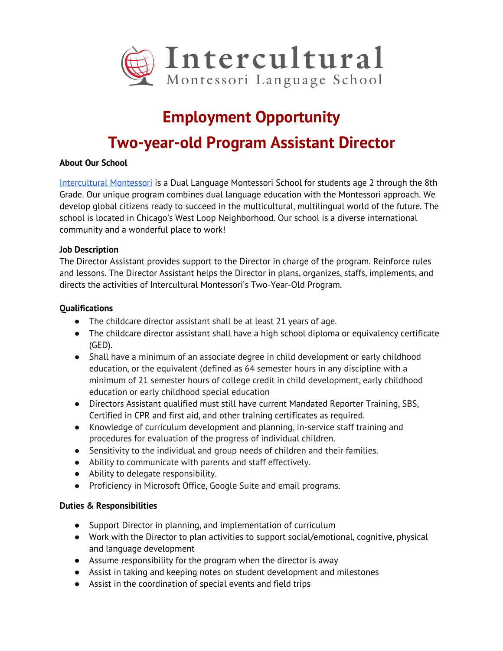

# **Employment Opportunity**

# **Two-year-old Program Assistant Director**

## **About Our School**

Intercultural Montessori is a Dual Language Montessori School for students age 2 through the 8th Grade. Our unique program combines dual language education with the Montessori approach. We develop global citizens ready to succeed in the multicultural, multilingual world of the future. The school is located in Chicago's West Loop Neighborhood. Our school is a diverse international community and a wonderful place to work!

#### **Job Description**

The Director Assistant provides support to the Director in charge of the program. Reinforce rules and lessons. The Director Assistant helps the Director in plans, organizes, staffs, implements, and directs the activities of Intercultural Montessori's Two-Year-Old Program.

#### **Qualifications**

- The childcare director assistant shall be at least 21 years of age.
- The childcare director assistant shall have a high school diploma or equivalency certificate (GED).
- Shall have a minimum of an associate degree in child development or early childhood education, or the equivalent (defined as 64 semester hours in any discipline with a minimum of 21 semester hours of college credit in child development, early childhood education or early childhood special education
- Directors Assistant qualified must still have current Mandated Reporter Training, SBS, Certified in CPR and first aid, and other training certificates as required.
- Knowledge of curriculum development and planning, in-service staff training and procedures for evaluation of the progress of individual children.
- Sensitivity to the individual and group needs of children and their families.
- Ability to communicate with parents and staff effectively.
- Ability to delegate responsibility.
- Proficiency in Microsoft Office, Google Suite and email programs.

## **Duties & Responsibilities**

- Support Director in planning, and implementation of curriculum
- Work with the Director to plan activities to support social/emotional, cognitive, physical and language development
- Assume responsibility for the program when the director is away
- Assist in taking and keeping notes on student development and milestones
- Assist in the coordination of special events and field trips